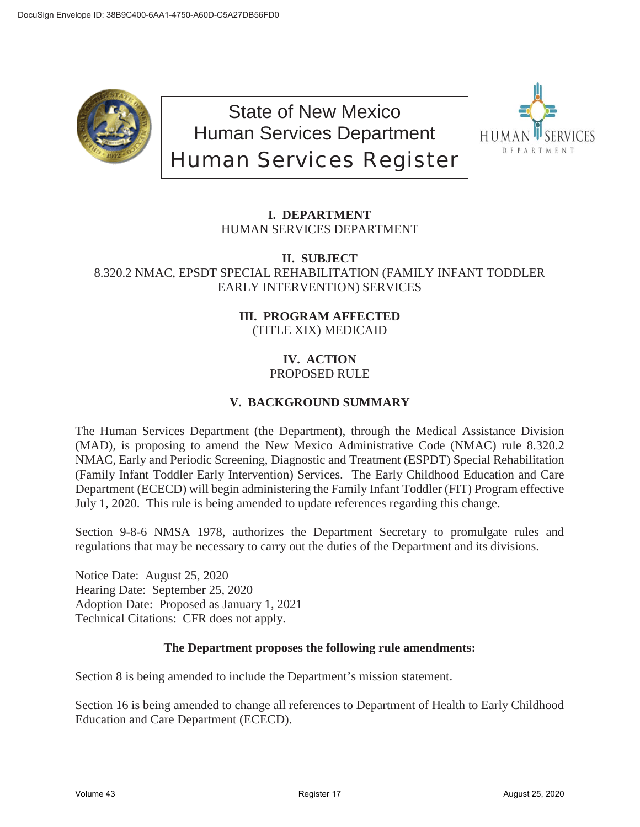

State of New Mexico Human Services Department Human Services Register



# **I. DEPARTMENT** HUMAN SERVICES DEPARTMENT

### **II. SUBJECT** 8.320.2 NMAC, EPSDT SPECIAL REHABILITATION (FAMILY INFANT TODDLER EARLY INTERVENTION) SERVICES

## **III. PROGRAM AFFECTED** (TITLE XIX) MEDICAID

# **IV. ACTION**

# PROPOSED RULE

# **V. BACKGROUND SUMMARY**

The Human Services Department (the Department), through the Medical Assistance Division (MAD), is proposing to amend the New Mexico Administrative Code (NMAC) rule 8.320.2 NMAC, Early and Periodic Screening, Diagnostic and Treatment (ESPDT) Special Rehabilitation (Family Infant Toddler Early Intervention) Services. The Early Childhood Education and Care Department (ECECD) will begin administering the Family Infant Toddler (FIT) Program effective July 1, 2020. This rule is being amended to update references regarding this change.

Section 9-8-6 NMSA 1978, authorizes the Department Secretary to promulgate rules and regulations that may be necessary to carry out the duties of the Department and its divisions.

Notice Date: August 25, 2020 Hearing Date: September 25, 2020 Adoption Date: Proposed as January 1, 2021 Technical Citations: CFR does not apply.

## **The Department proposes the following rule amendments:**

Section 8 is being amended to include the Department's mission statement.

Section 16 is being amended to change all references to Department of Health to Early Childhood Education and Care Department (ECECD).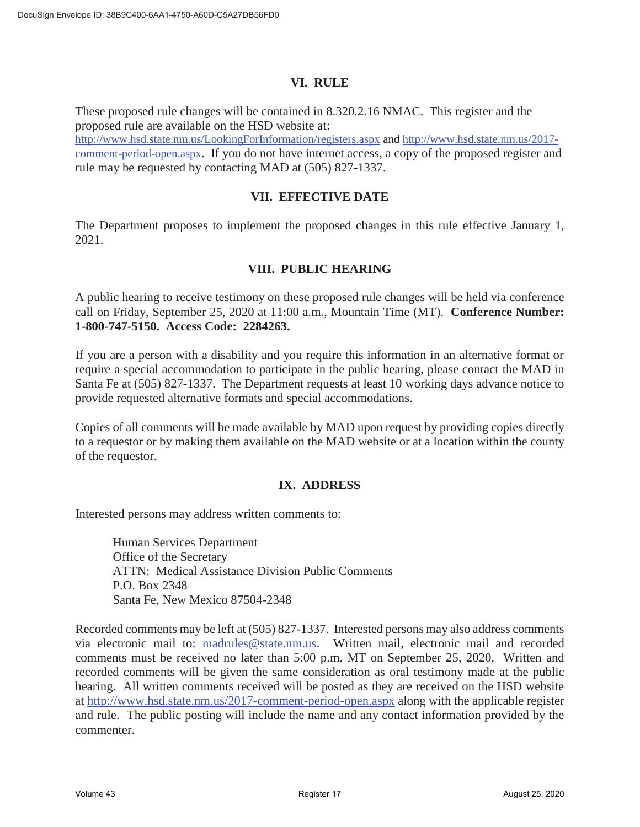#### **VI. RULE**

These proposed rule changes will be contained in 8.320.2.16 NMAC. This register and the proposed rule are available on the HSD website at:

http://www.hsd.state.nm.us/LookingForInformation/registers.aspx and http://www.hsd.state.nm.us/2017 comment-period-open.aspx. If you do not have internet access, a copy of the proposed register and rule may be requested by contacting MAD at (505) 827-1337.

#### **VII. EFFECTIVE DATE**

The Department proposes to implement the proposed changes in this rule effective January 1, 2021.

### **VIII. PUBLIC HEARING**

A public hearing to receive testimony on these proposed rule changes will be held via conference call on Friday, September 25, 2020 at 11:00 a.m., Mountain Time (MT). **Conference Number: 1-800-747-5150. Access Code: 2284263.** 

If you are a person with a disability and you require this information in an alternative format or require a special accommodation to participate in the public hearing, please contact the MAD in Santa Fe at (505) 827-1337. The Department requests at least 10 working days advance notice to provide requested alternative formats and special accommodations.

Copies of all comments will be made available by MAD upon request by providing copies directly to a requestor or by making them available on the MAD website or at a location within the county of the requestor.

#### **IX. ADDRESS**

Interested persons may address written comments to:

Human Services Department Office of the Secretary ATTN: Medical Assistance Division Public Comments P.O. Box 2348 Santa Fe, New Mexico 87504-2348

Recorded comments may be left at (505) 827-1337. Interested persons may also address comments via electronic mail to: madrules@state.nm.us. Written mail, electronic mail and recorded comments must be received no later than 5:00 p.m. MT on September 25, 2020. Written and recorded comments will be given the same consideration as oral testimony made at the public hearing. All written comments received will be posted as they are received on the HSD website at http://www.hsd.state.nm.us/2017-comment-period-open.aspx along with the applicable register and rule. The public posting will include the name and any contact information provided by the commenter.